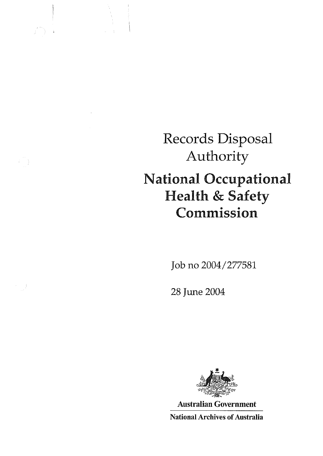Records Disposal Authority National Occupational Health & Safety Commission

Job no 2004/277581

28 June 2004



Australian Government

National Archives of Australia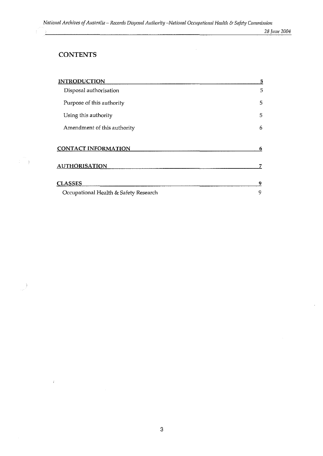$\bar{z}$ 

## **CONTENTS**

 $\frac{3}{4}$ 

 $\begin{pmatrix} 0 \\ 0 \\ 0 \\ 0 \end{pmatrix}$ 

 $\begin{pmatrix} 1 \\ 1 \\ 0 \end{pmatrix}$ 

 $\bar{z}$ 

 $\hat{\vec{j}}$ 

| <b>INTRODUCTION</b>                   | 5 |
|---------------------------------------|---|
| Disposal authorisation                | 5 |
| Purpose of this authority             | 5 |
| Using this authority                  | 5 |
| Amendment of this authority           | 6 |
| <b>CONTACT INFORMATION</b>            | 6 |
| <b>AUTHORISATION</b>                  | 7 |
| <b>CLASSES</b>                        | 9 |
| Occupational Health & Safety Research | 9 |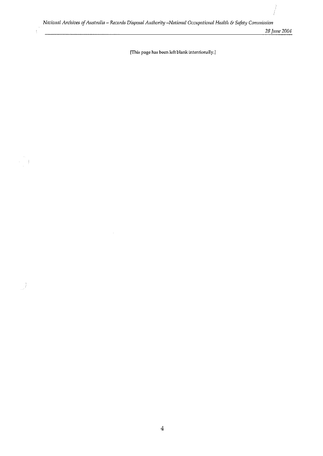$\frac{1}{4}$ 

 $\begin{pmatrix} 0 & 0 \\ 0 & 0 \\ 0 & 0 \end{pmatrix}$ 

 $\frac{1}{2}$ 

 $\int$ 

[This page has been left blank intentionally.]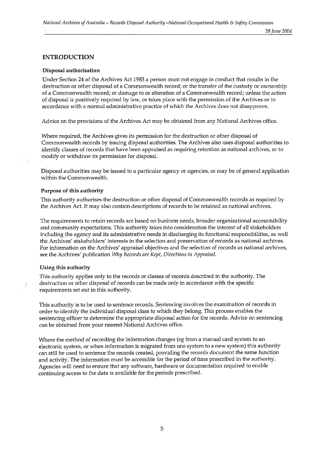#### INTRODUCTION

#### Disposal authorisation

Under Section 24 of the Archives Act 1983 a person must not engage in conduct that results in the destruction or other disposal of a Commonwealth record; or the transfer of the custody or ownership of a Commonwealth record; or damage to or alteration of a Commonwealth record; unless the action of disposal is positively required by law, or takes place with the permission of the Archives or in accordance with a normal administrative practice of which the Archives does not disapprove.

Advice on the provisions of the Archives Act may be obtained from any National Archives office.

Where required, the Archives gives its permission for the destruction or other disposal of Commonwealth records by issuing disposal authorities. The Archives also uses disposal authorities to identify classes of records that have been appraised as requiring retention as national archives, or to modify or withdraw its permission for disposal.

Disposal authorities may be issued to a particular agency or agencies, or may be of general application within the Commonwealth.

#### Purpose of this authority

This authority authorises the destruction or other disposal of Commonwealth records as required by the Archives Act. Itmay also contain descriptions of records to be retained as national archives.

The requirements to retain records are based on business needs, broader organisational accountability and community expectations. This authority takes into consideration the interest of all stakeholders including the agency and its administrative needs in discharging its functional responsibilities, as well the Archives' stakeholders' interests in the selection and preservation of records as national archives. For information on the Archives' appraisal objectives and the selection of records as national archives, see the Archives' publication Why *Records are Kept*, Directions in Appraisal.

#### Using this authority

This authority applies only to the records or classes of records described in the authority. The destruction or other disposal of records can be made only in accordance with the specific requirements set out in this authority.

This authority is to be used to sentence records. Sentencing involves the examination of records in order to identify the individual disposal class to which they belong. This process enables the sentencing officer to determine the appropriate disposal action for the records. Advice on sentencing can be obtained from your nearest National Archives office.

Where the method of recording the information changes (eg from a manual card system to an electronic system, or when information is migrated from one system to a new system) this authority can still be used to sentence the records created, providing the records document the same function and activity. The information must be accessible for the period of time prescribed in the authority. Agencies will need to ensure that any software, hardware or documentation required to enable continuing access to the data is available for the periods prescribed.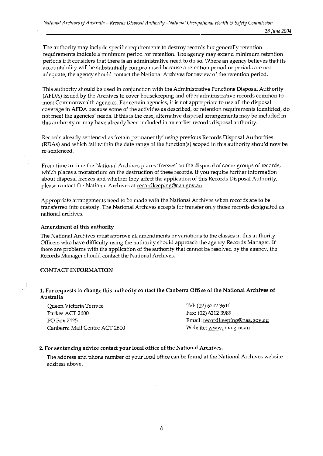The authority may include specific requirements to destroy records but generally retention requirements indicate a minimum period for retention. The agency may extend minimum retention periods if it considers that there is an administrative need to do so. Where an agency believes that its accountability will be substantially compromised because a retention period or periods are not adequate, the agency should contact the National Archives for review of the retention period.

This authority should be used in conjunction with the Administrative Functions Disposal Authority (AFDA) issued by the Archives to cover housekeeping and other administrative records common to most Commonwealth agencies. For certain agencies, it is not appropriate to use all the disposal coverage in AFDA because some of the activities as described, or retention requirements identified, do not meet the agencies' needs. If this is the case, alternative disposal arrangements may be included in this authority or may have already been included in an earlier records disposal authority.

Records already sentenced as 'retain permanently' using previous Records Disposal Authorities (RDAs) and which fall within the date range of the function(s) scoped in this authority should now be **re-sentenced.** 

From time to time the National Archives places 'freezes' on the disposal of some groups of records, which places a moratorium on the destruction of these records. If you require further information about disposal freezes and whether they affect the application of this Records Disposal Authority, please contact the National Archives at recordkeeping@naa.gov.au

Appropriate arrangements need to be made with the National Archives when records are to be transferred into custody. The National Archives accepts for transfer only those records designated as **national archives.** 

#### Amendment of this authority

The National Archives must approve all amendments or variations to the classes in this authority. Officers who have difficulty using the authority should approach the agency Records Manager. If there are problems with the application of the authority that cannot be resolved by the agency, the Records Manager should contact the National Archives,

#### CONTACT INFORMATION

#### 1. For requests to change this authority contact the Canberra Office of the National Archives of Australia

Queen Victoria Terrace Tel: (02) 62123610 Parkes ACT 2600 Fax: (02) 6212 3989 PO Box 7425 **Email:** record keeping@naa.gov.au Canberra Mail Centre ACT 2610 **Website: www.naa.gov.au**

#### 2. For sentencing advice contact your local office of the National Archives.

The address and phone number of your local office can be found at the National Archives website address above.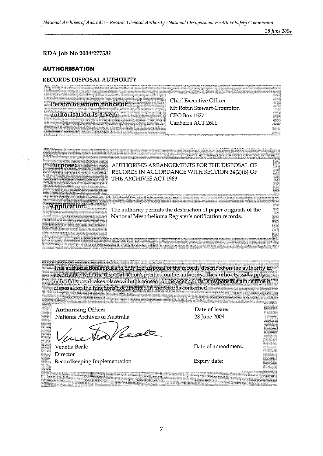*28* JIIlIe *2004* 

#### RDA Job No 2004/277581

#### **AUTHORISATION**

### RECORDS DISPOSAL AUTHORITY

**Person to whom notice of** authorisation is given:

**Committee Committee Committee Committee Committee Committee Committee Committee Committee Committee Committee** 

Chief Executive Officer Mr Robin Stewart-Crompton GPO Box 1577 Canberra ACT 2601

.<br>Auto 1993 anni 4 ai any 6 a faritr'i Nobel Antonio Maria Anni 1994 and 1994.

| Purpose:            | AUTHORISES ARRANGEMENTS FOR THE DISPOSAL OF<br>RECORDS IN ACCORDANCE WITH SECTION 24(2)(b) OF<br>THE ARCHIVES ACT 1983    |
|---------------------|---------------------------------------------------------------------------------------------------------------------------|
| <b>Application.</b> | The authority permits the destruction of paper originals of the<br>National Mesothelioma Register's notification records. |

This authorisation applies to only the disposal of the records described on the authority in accordance with the disposal action specified on the authority. The authority will apply only if disposal takes place with the consent of the agency that is responsible at the time of disposal for the functions documented in the records concerned.

**Authorising Officer** National Archives of Australia

lede

Venetia Beale Director Recordkeeping Implementation

Date of issue: 28 June 2004

Date of amendment:

Expiry date: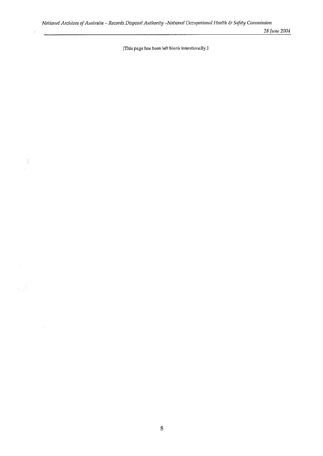$\omega^{\prime}$ 

 $\overline{\phantom{a}}$ 

 $\bar{\beta}$ 

 $\bar{\beta}$ 

*28 lune 2004*

**{This page has been left blank** intentionally.]